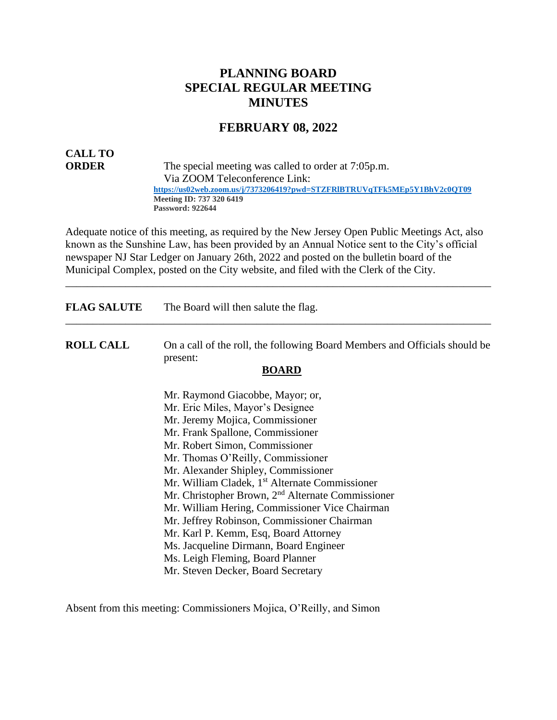## **PLANNING BOARD SPECIAL REGULAR MEETING MINUTES**

#### **FEBRUARY 08, 2022**

# **CALL TO**

**ORDER** The special meeting was called to order at 7:05p.m. Via ZOOM Teleconference Link:  **<https://us02web.zoom.us/j/7373206419?pwd=STZFRlBTRUVqTFk5MEp5Y1BhV2c0QT09> Meeting ID: 737 320 6419 Password: 922644**

Adequate notice of this meeting, as required by the New Jersey Open Public Meetings Act, also known as the Sunshine Law, has been provided by an Annual Notice sent to the City's official newspaper NJ Star Ledger on January 26th, 2022 and posted on the bulletin board of the Municipal Complex, posted on the City website, and filed with the Clerk of the City.

\_\_\_\_\_\_\_\_\_\_\_\_\_\_\_\_\_\_\_\_\_\_\_\_\_\_\_\_\_\_\_\_\_\_\_\_\_\_\_\_\_\_\_\_\_\_\_\_\_\_\_\_\_\_\_\_\_\_\_\_\_\_\_\_\_\_\_\_\_\_\_\_\_\_\_\_\_\_

**FLAG SALUTE** The Board will then salute the flag.

**ROLL CALL** On a call of the roll, the following Board Members and Officials should be present:

\_\_\_\_\_\_\_\_\_\_\_\_\_\_\_\_\_\_\_\_\_\_\_\_\_\_\_\_\_\_\_\_\_\_\_\_\_\_\_\_\_\_\_\_\_\_\_\_\_\_\_\_\_\_\_\_\_\_\_\_\_\_\_\_\_\_\_\_\_\_\_\_\_\_\_\_\_\_

#### **BOARD**

Mr. Raymond Giacobbe, Mayor; or, Mr. Eric Miles, Mayor's Designee Mr. Jeremy Mojica, Commissioner Mr. Frank Spallone, Commissioner Mr. Robert Simon, Commissioner Mr. Thomas O'Reilly, Commissioner Mr. Alexander Shipley, Commissioner Mr. William Cladek, 1<sup>st</sup> Alternate Commissioner Mr. Christopher Brown, 2nd Alternate Commissioner Mr. William Hering, Commissioner Vice Chairman Mr. Jeffrey Robinson, Commissioner Chairman Mr. Karl P. Kemm, Esq, Board Attorney Ms. Jacqueline Dirmann, Board Engineer Ms. Leigh Fleming, Board Planner Mr. Steven Decker, Board Secretary

Absent from this meeting: Commissioners Mojica, O'Reilly, and Simon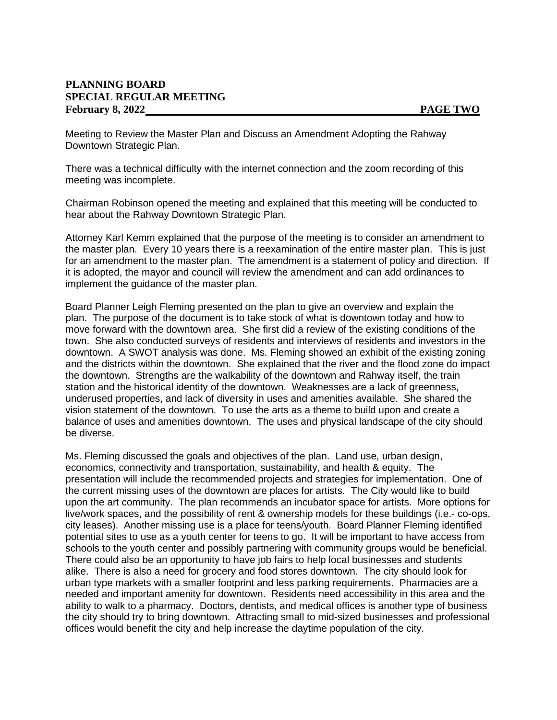#### **PLANNING BOARD SPECIAL REGULAR MEETING** February 8, 2022 **PAGE TWO**

Meeting to Review the Master Plan and Discuss an Amendment Adopting the Rahway Downtown Strategic Plan.

There was a technical difficulty with the internet connection and the zoom recording of this meeting was incomplete.

Chairman Robinson opened the meeting and explained that this meeting will be conducted to hear about the Rahway Downtown Strategic Plan.

Attorney Karl Kemm explained that the purpose of the meeting is to consider an amendment to the master plan. Every 10 years there is a reexamination of the entire master plan. This is just for an amendment to the master plan. The amendment is a statement of policy and direction. If it is adopted, the mayor and council will review the amendment and can add ordinances to implement the guidance of the master plan.

Board Planner Leigh Fleming presented on the plan to give an overview and explain the plan. The purpose of the document is to take stock of what is downtown today and how to move forward with the downtown area. She first did a review of the existing conditions of the town. She also conducted surveys of residents and interviews of residents and investors in the downtown. A SWOT analysis was done. Ms. Fleming showed an exhibit of the existing zoning and the districts within the downtown. She explained that the river and the flood zone do impact the downtown. Strengths are the walkability of the downtown and Rahway itself, the train station and the historical identity of the downtown. Weaknesses are a lack of greenness, underused properties, and lack of diversity in uses and amenities available. She shared the vision statement of the downtown. To use the arts as a theme to build upon and create a balance of uses and amenities downtown. The uses and physical landscape of the city should be diverse.

Ms. Fleming discussed the goals and objectives of the plan. Land use, urban design, economics, connectivity and transportation, sustainability, and health & equity. The presentation will include the recommended projects and strategies for implementation. One of the current missing uses of the downtown are places for artists. The City would like to build upon the art community. The plan recommends an incubator space for artists. More options for live/work spaces, and the possibility of rent & ownership models for these buildings (i.e.- co-ops, city leases). Another missing use is a place for teens/youth. Board Planner Fleming identified potential sites to use as a youth center for teens to go. It will be important to have access from schools to the youth center and possibly partnering with community groups would be beneficial. There could also be an opportunity to have job fairs to help local businesses and students alike. There is also a need for grocery and food stores downtown. The city should look for urban type markets with a smaller footprint and less parking requirements. Pharmacies are a needed and important amenity for downtown. Residents need accessibility in this area and the ability to walk to a pharmacy. Doctors, dentists, and medical offices is another type of business the city should try to bring downtown. Attracting small to mid-sized businesses and professional offices would benefit the city and help increase the daytime population of the city.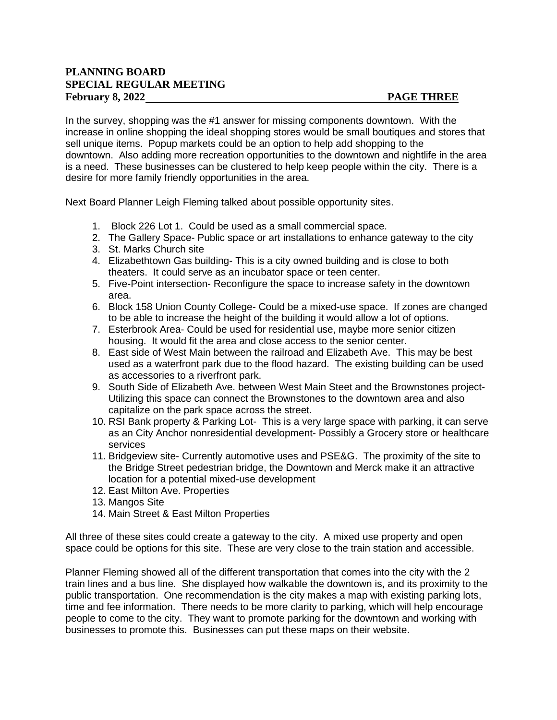#### **PLANNING BOARD SPECIAL REGULAR MEETING** February 8, 2022 **PAGE THREE**

In the survey, shopping was the #1 answer for missing components downtown. With the increase in online shopping the ideal shopping stores would be small boutiques and stores that sell unique items. Popup markets could be an option to help add shopping to the downtown. Also adding more recreation opportunities to the downtown and nightlife in the area is a need. These businesses can be clustered to help keep people within the city. There is a desire for more family friendly opportunities in the area.

Next Board Planner Leigh Fleming talked about possible opportunity sites.

- 1. Block 226 Lot 1. Could be used as a small commercial space.
- 2. The Gallery Space- Public space or art installations to enhance gateway to the city
- 3. St. Marks Church site
- 4. Elizabethtown Gas building- This is a city owned building and is close to both theaters. It could serve as an incubator space or teen center.
- 5. Five-Point intersection- Reconfigure the space to increase safety in the downtown area.
- 6. Block 158 Union County College- Could be a mixed-use space. If zones are changed to be able to increase the height of the building it would allow a lot of options.
- 7. Esterbrook Area- Could be used for residential use, maybe more senior citizen housing. It would fit the area and close access to the senior center.
- 8. East side of West Main between the railroad and Elizabeth Ave. This may be best used as a waterfront park due to the flood hazard. The existing building can be used as accessories to a riverfront park.
- 9. South Side of Elizabeth Ave. between West Main Steet and the Brownstones project-Utilizing this space can connect the Brownstones to the downtown area and also capitalize on the park space across the street.
- 10. RSI Bank property & Parking Lot- This is a very large space with parking, it can serve as an City Anchor nonresidential development- Possibly a Grocery store or healthcare services
- 11. Bridgeview site- Currently automotive uses and PSE&G. The proximity of the site to the Bridge Street pedestrian bridge, the Downtown and Merck make it an attractive location for a potential mixed-use development
- 12. East Milton Ave. Properties
- 13. Mangos Site
- 14. Main Street & East Milton Properties

All three of these sites could create a gateway to the city. A mixed use property and open space could be options for this site. These are very close to the train station and accessible.

Planner Fleming showed all of the different transportation that comes into the city with the 2 train lines and a bus line. She displayed how walkable the downtown is, and its proximity to the public transportation. One recommendation is the city makes a map with existing parking lots, time and fee information. There needs to be more clarity to parking, which will help encourage people to come to the city. They want to promote parking for the downtown and working with businesses to promote this. Businesses can put these maps on their website.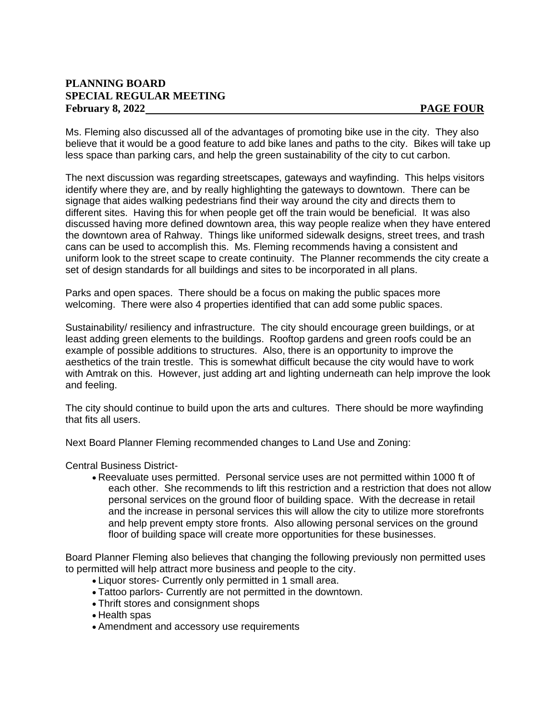### **PLANNING BOARD SPECIAL REGULAR MEETING** February 8, 2022 **PAGE FOUR**

Ms. Fleming also discussed all of the advantages of promoting bike use in the city. They also believe that it would be a good feature to add bike lanes and paths to the city. Bikes will take up less space than parking cars, and help the green sustainability of the city to cut carbon.

The next discussion was regarding streetscapes, gateways and wayfinding. This helps visitors identify where they are, and by really highlighting the gateways to downtown. There can be signage that aides walking pedestrians find their way around the city and directs them to different sites. Having this for when people get off the train would be beneficial. It was also discussed having more defined downtown area, this way people realize when they have entered the downtown area of Rahway. Things like uniformed sidewalk designs, street trees, and trash cans can be used to accomplish this. Ms. Fleming recommends having a consistent and uniform look to the street scape to create continuity. The Planner recommends the city create a set of design standards for all buildings and sites to be incorporated in all plans.

Parks and open spaces. There should be a focus on making the public spaces more welcoming. There were also 4 properties identified that can add some public spaces.

Sustainability/ resiliency and infrastructure. The city should encourage green buildings, or at least adding green elements to the buildings. Rooftop gardens and green roofs could be an example of possible additions to structures. Also, there is an opportunity to improve the aesthetics of the train trestle. This is somewhat difficult because the city would have to work with Amtrak on this. However, just adding art and lighting underneath can help improve the look and feeling.

The city should continue to build upon the arts and cultures. There should be more wayfinding that fits all users.

Next Board Planner Fleming recommended changes to Land Use and Zoning:

Central Business District-

• Reevaluate uses permitted. Personal service uses are not permitted within 1000 ft of each other. She recommends to lift this restriction and a restriction that does not allow personal services on the ground floor of building space. With the decrease in retail and the increase in personal services this will allow the city to utilize more storefronts and help prevent empty store fronts. Also allowing personal services on the ground floor of building space will create more opportunities for these businesses.

Board Planner Fleming also believes that changing the following previously non permitted uses to permitted will help attract more business and people to the city.

- Liquor stores- Currently only permitted in 1 small area.
- Tattoo parlors- Currently are not permitted in the downtown.
- Thrift stores and consignment shops
- Health spas
- Amendment and accessory use requirements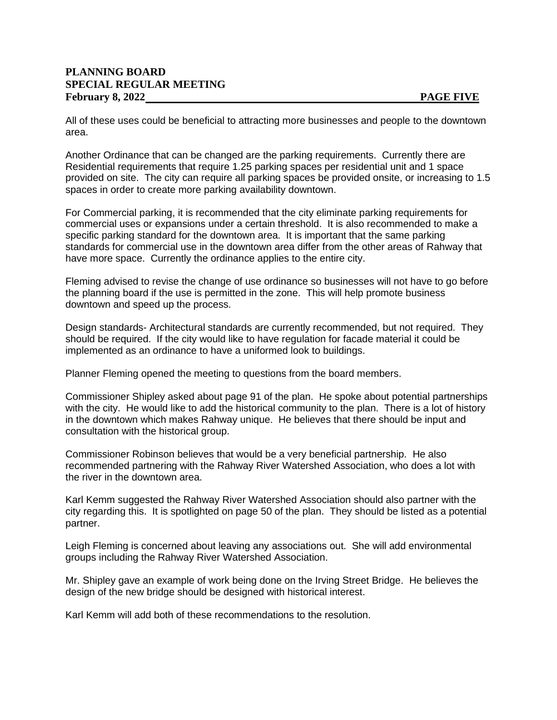#### **PLANNING BOARD SPECIAL REGULAR MEETING** February 8, 2022 **PAGE FIVE**

All of these uses could be beneficial to attracting more businesses and people to the downtown area.

Another Ordinance that can be changed are the parking requirements. Currently there are Residential requirements that require 1.25 parking spaces per residential unit and 1 space provided on site. The city can require all parking spaces be provided onsite, or increasing to 1.5 spaces in order to create more parking availability downtown.

For Commercial parking, it is recommended that the city eliminate parking requirements for commercial uses or expansions under a certain threshold. It is also recommended to make a specific parking standard for the downtown area. It is important that the same parking standards for commercial use in the downtown area differ from the other areas of Rahway that have more space. Currently the ordinance applies to the entire city.

Fleming advised to revise the change of use ordinance so businesses will not have to go before the planning board if the use is permitted in the zone. This will help promote business downtown and speed up the process.

Design standards- Architectural standards are currently recommended, but not required. They should be required. If the city would like to have regulation for facade material it could be implemented as an ordinance to have a uniformed look to buildings.

Planner Fleming opened the meeting to questions from the board members.

Commissioner Shipley asked about page 91 of the plan. He spoke about potential partnerships with the city. He would like to add the historical community to the plan. There is a lot of history in the downtown which makes Rahway unique. He believes that there should be input and consultation with the historical group.

Commissioner Robinson believes that would be a very beneficial partnership. He also recommended partnering with the Rahway River Watershed Association, who does a lot with the river in the downtown area.

Karl Kemm suggested the Rahway River Watershed Association should also partner with the city regarding this. It is spotlighted on page 50 of the plan. They should be listed as a potential partner.

Leigh Fleming is concerned about leaving any associations out. She will add environmental groups including the Rahway River Watershed Association.

Mr. Shipley gave an example of work being done on the Irving Street Bridge. He believes the design of the new bridge should be designed with historical interest.

Karl Kemm will add both of these recommendations to the resolution.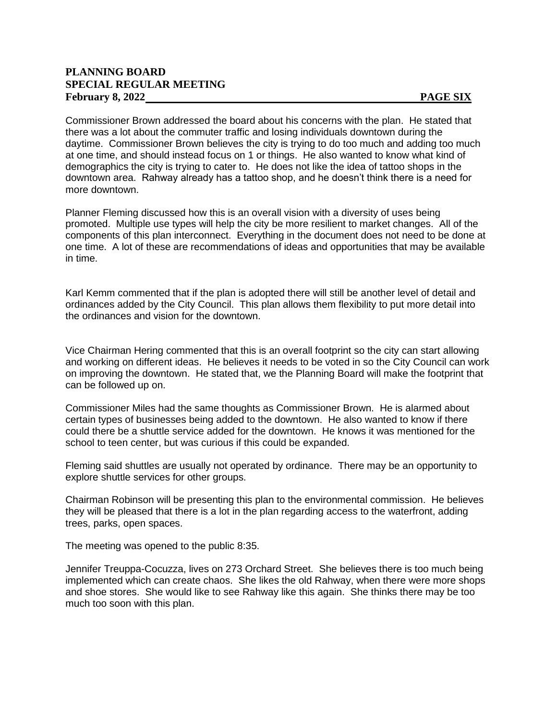#### **PLANNING BOARD SPECIAL REGULAR MEETING** February 8, 2022 **PAGE SIX**

Commissioner Brown addressed the board about his concerns with the plan. He stated that there was a lot about the commuter traffic and losing individuals downtown during the daytime. Commissioner Brown believes the city is trying to do too much and adding too much at one time, and should instead focus on 1 or things. He also wanted to know what kind of demographics the city is trying to cater to. He does not like the idea of tattoo shops in the downtown area. Rahway already has a tattoo shop, and he doesn't think there is a need for more downtown.

Planner Fleming discussed how this is an overall vision with a diversity of uses being promoted. Multiple use types will help the city be more resilient to market changes. All of the components of this plan interconnect. Everything in the document does not need to be done at one time. A lot of these are recommendations of ideas and opportunities that may be available in time.

Karl Kemm commented that if the plan is adopted there will still be another level of detail and ordinances added by the City Council. This plan allows them flexibility to put more detail into the ordinances and vision for the downtown.

Vice Chairman Hering commented that this is an overall footprint so the city can start allowing and working on different ideas. He believes it needs to be voted in so the City Council can work on improving the downtown. He stated that, we the Planning Board will make the footprint that can be followed up on.

Commissioner Miles had the same thoughts as Commissioner Brown. He is alarmed about certain types of businesses being added to the downtown. He also wanted to know if there could there be a shuttle service added for the downtown. He knows it was mentioned for the school to teen center, but was curious if this could be expanded.

Fleming said shuttles are usually not operated by ordinance. There may be an opportunity to explore shuttle services for other groups.

Chairman Robinson will be presenting this plan to the environmental commission. He believes they will be pleased that there is a lot in the plan regarding access to the waterfront, adding trees, parks, open spaces.

The meeting was opened to the public 8:35.

Jennifer Treuppa-Cocuzza, lives on 273 Orchard Street. She believes there is too much being implemented which can create chaos. She likes the old Rahway, when there were more shops and shoe stores. She would like to see Rahway like this again. She thinks there may be too much too soon with this plan.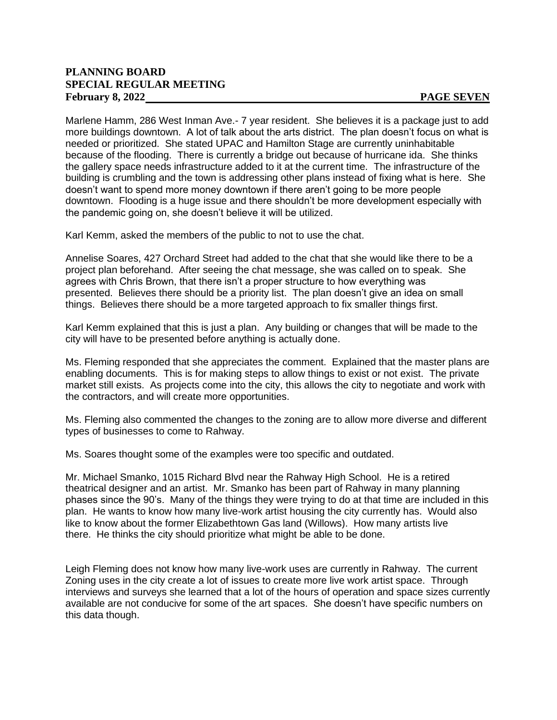#### **PLANNING BOARD SPECIAL REGULAR MEETING** February 8, 2022 **PAGE SEVEN**

Marlene Hamm, 286 West Inman Ave.- 7 year resident. She believes it is a package just to add more buildings downtown. A lot of talk about the arts district. The plan doesn't focus on what is needed or prioritized. She stated UPAC and Hamilton Stage are currently uninhabitable because of the flooding. There is currently a bridge out because of hurricane ida. She thinks the gallery space needs infrastructure added to it at the current time. The infrastructure of the building is crumbling and the town is addressing other plans instead of fixing what is here. She doesn't want to spend more money downtown if there aren't going to be more people downtown. Flooding is a huge issue and there shouldn't be more development especially with the pandemic going on, she doesn't believe it will be utilized.

Karl Kemm, asked the members of the public to not to use the chat.

Annelise Soares, 427 Orchard Street had added to the chat that she would like there to be a project plan beforehand. After seeing the chat message, she was called on to speak. She agrees with Chris Brown, that there isn't a proper structure to how everything was presented. Believes there should be a priority list. The plan doesn't give an idea on small things. Believes there should be a more targeted approach to fix smaller things first.

Karl Kemm explained that this is just a plan. Any building or changes that will be made to the city will have to be presented before anything is actually done.

Ms. Fleming responded that she appreciates the comment. Explained that the master plans are enabling documents. This is for making steps to allow things to exist or not exist. The private market still exists. As projects come into the city, this allows the city to negotiate and work with the contractors, and will create more opportunities.

Ms. Fleming also commented the changes to the zoning are to allow more diverse and different types of businesses to come to Rahway.

Ms. Soares thought some of the examples were too specific and outdated.

Mr. Michael Smanko, 1015 Richard Blvd near the Rahway High School. He is a retired theatrical designer and an artist. Mr. Smanko has been part of Rahway in many planning phases since the 90's. Many of the things they were trying to do at that time are included in this plan. He wants to know how many live-work artist housing the city currently has. Would also like to know about the former Elizabethtown Gas land (Willows). How many artists live there. He thinks the city should prioritize what might be able to be done.

Leigh Fleming does not know how many live-work uses are currently in Rahway. The current Zoning uses in the city create a lot of issues to create more live work artist space. Through interviews and surveys she learned that a lot of the hours of operation and space sizes currently available are not conducive for some of the art spaces. She doesn't have specific numbers on this data though.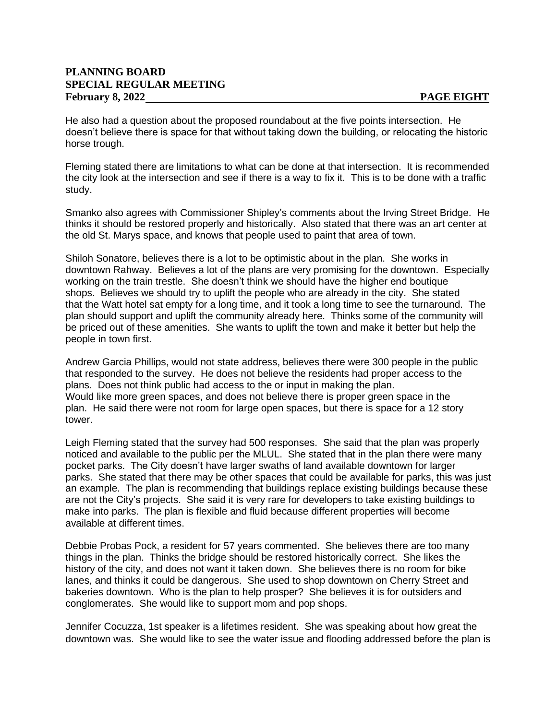#### **PLANNING BOARD SPECIAL REGULAR MEETING** February 8, 2022 **PAGE EIGHT**

He also had a question about the proposed roundabout at the five points intersection. He doesn't believe there is space for that without taking down the building, or relocating the historic horse trough.

Fleming stated there are limitations to what can be done at that intersection. It is recommended the city look at the intersection and see if there is a way to fix it. This is to be done with a traffic study.

Smanko also agrees with Commissioner Shipley's comments about the Irving Street Bridge. He thinks it should be restored properly and historically. Also stated that there was an art center at the old St. Marys space, and knows that people used to paint that area of town.

Shiloh Sonatore, believes there is a lot to be optimistic about in the plan. She works in downtown Rahway. Believes a lot of the plans are very promising for the downtown. Especially working on the train trestle. She doesn't think we should have the higher end boutique shops. Believes we should try to uplift the people who are already in the city. She stated that the Watt hotel sat empty for a long time, and it took a long time to see the turnaround. The plan should support and uplift the community already here. Thinks some of the community will be priced out of these amenities. She wants to uplift the town and make it better but help the people in town first.

Andrew Garcia Phillips, would not state address, believes there were 300 people in the public that responded to the survey. He does not believe the residents had proper access to the plans. Does not think public had access to the or input in making the plan. Would like more green spaces, and does not believe there is proper green space in the plan. He said there were not room for large open spaces, but there is space for a 12 story tower.

Leigh Fleming stated that the survey had 500 responses. She said that the plan was properly noticed and available to the public per the MLUL. She stated that in the plan there were many pocket parks. The City doesn't have larger swaths of land available downtown for larger parks. She stated that there may be other spaces that could be available for parks, this was just an example. The plan is recommending that buildings replace existing buildings because these are not the City's projects. She said it is very rare for developers to take existing buildings to make into parks. The plan is flexible and fluid because different properties will become available at different times.

Debbie Probas Pock, a resident for 57 years commented. She believes there are too many things in the plan. Thinks the bridge should be restored historically correct. She likes the history of the city, and does not want it taken down. She believes there is no room for bike lanes, and thinks it could be dangerous. She used to shop downtown on Cherry Street and bakeries downtown. Who is the plan to help prosper? She believes it is for outsiders and conglomerates. She would like to support mom and pop shops.

Jennifer Cocuzza, 1st speaker is a lifetimes resident. She was speaking about how great the downtown was. She would like to see the water issue and flooding addressed before the plan is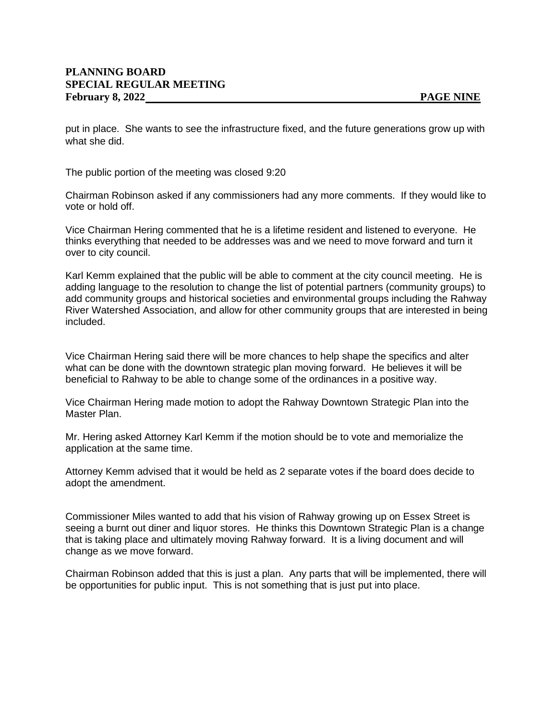put in place. She wants to see the infrastructure fixed, and the future generations grow up with what she did.

The public portion of the meeting was closed 9:20

Chairman Robinson asked if any commissioners had any more comments. If they would like to vote or hold off.

Vice Chairman Hering commented that he is a lifetime resident and listened to everyone. He thinks everything that needed to be addresses was and we need to move forward and turn it over to city council.

Karl Kemm explained that the public will be able to comment at the city council meeting. He is adding language to the resolution to change the list of potential partners (community groups) to add community groups and historical societies and environmental groups including the Rahway River Watershed Association, and allow for other community groups that are interested in being included.

Vice Chairman Hering said there will be more chances to help shape the specifics and alter what can be done with the downtown strategic plan moving forward. He believes it will be beneficial to Rahway to be able to change some of the ordinances in a positive way.

Vice Chairman Hering made motion to adopt the Rahway Downtown Strategic Plan into the Master Plan.

Mr. Hering asked Attorney Karl Kemm if the motion should be to vote and memorialize the application at the same time.

Attorney Kemm advised that it would be held as 2 separate votes if the board does decide to adopt the amendment.

Commissioner Miles wanted to add that his vision of Rahway growing up on Essex Street is seeing a burnt out diner and liquor stores. He thinks this Downtown Strategic Plan is a change that is taking place and ultimately moving Rahway forward. It is a living document and will change as we move forward.

Chairman Robinson added that this is just a plan. Any parts that will be implemented, there will be opportunities for public input. This is not something that is just put into place.